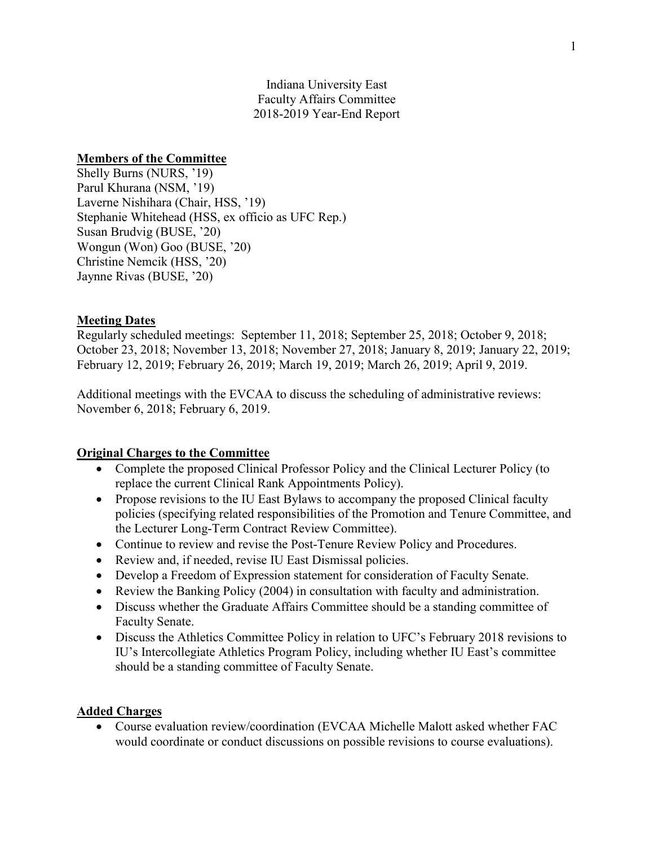### **Members of the Committee**

Shelly Burns (NURS, '19) Parul Khurana (NSM, '19) Laverne Nishihara (Chair, HSS, '19) Stephanie Whitehead (HSS, ex officio as UFC Rep.) Susan Brudvig (BUSE, '20) Wongun (Won) Goo (BUSE, '20) Christine Nemcik (HSS, '20) Jaynne Rivas (BUSE, '20)

#### **Meeting Dates**

Regularly scheduled meetings: September 11, 2018; September 25, 2018; October 9, 2018; October 23, 2018; November 13, 2018; November 27, 2018; January 8, 2019; January 22, 2019; February 12, 2019; February 26, 2019; March 19, 2019; March 26, 2019; April 9, 2019.

Additional meetings with the EVCAA to discuss the scheduling of administrative reviews: November 6, 2018; February 6, 2019.

#### **Original Charges to the Committee**

- Complete the proposed Clinical Professor Policy and the Clinical Lecturer Policy (to replace the current Clinical Rank Appointments Policy).
- Propose revisions to the IU East Bylaws to accompany the proposed Clinical faculty policies (specifying related responsibilities of the Promotion and Tenure Committee, and the Lecturer Long-Term Contract Review Committee).
- Continue to review and revise the Post-Tenure Review Policy and Procedures.
- Review and, if needed, revise IU East Dismissal policies.
- Develop a Freedom of Expression statement for consideration of Faculty Senate.
- Review the Banking Policy (2004) in consultation with faculty and administration.
- Discuss whether the Graduate Affairs Committee should be a standing committee of Faculty Senate.
- Discuss the Athletics Committee Policy in relation to UFC's February 2018 revisions to IU's Intercollegiate Athletics Program Policy, including whether IU East's committee should be a standing committee of Faculty Senate.

#### **Added Charges**

• Course evaluation review/coordination (EVCAA Michelle Malott asked whether FAC would coordinate or conduct discussions on possible revisions to course evaluations).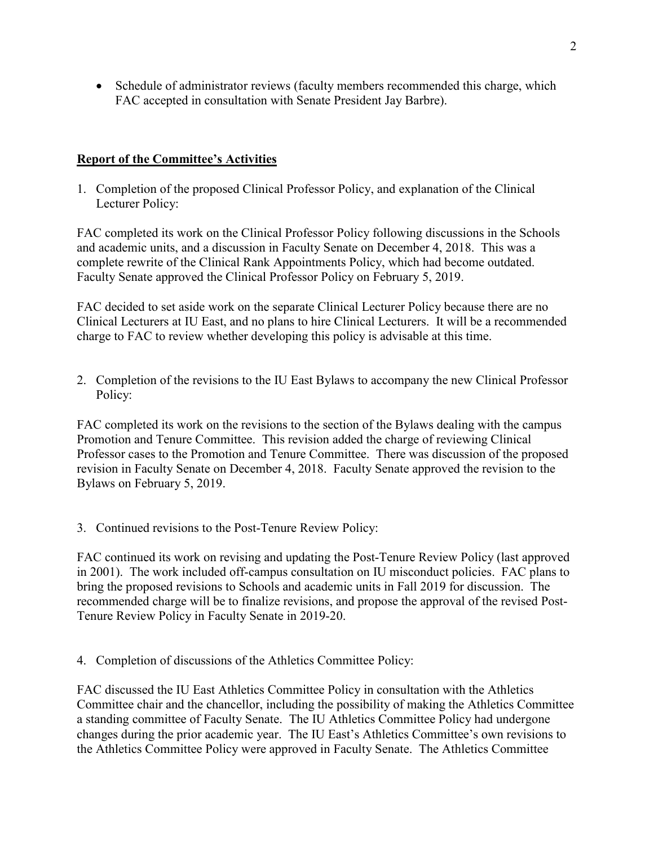• Schedule of administrator reviews (faculty members recommended this charge, which FAC accepted in consultation with Senate President Jay Barbre).

# **Report of the Committee's Activities**

1. Completion of the proposed Clinical Professor Policy, and explanation of the Clinical Lecturer Policy:

FAC completed its work on the Clinical Professor Policy following discussions in the Schools and academic units, and a discussion in Faculty Senate on December 4, 2018. This was a complete rewrite of the Clinical Rank Appointments Policy, which had become outdated. Faculty Senate approved the Clinical Professor Policy on February 5, 2019.

FAC decided to set aside work on the separate Clinical Lecturer Policy because there are no Clinical Lecturers at IU East, and no plans to hire Clinical Lecturers. It will be a recommended charge to FAC to review whether developing this policy is advisable at this time.

2. Completion of the revisions to the IU East Bylaws to accompany the new Clinical Professor Policy:

FAC completed its work on the revisions to the section of the Bylaws dealing with the campus Promotion and Tenure Committee. This revision added the charge of reviewing Clinical Professor cases to the Promotion and Tenure Committee. There was discussion of the proposed revision in Faculty Senate on December 4, 2018. Faculty Senate approved the revision to the Bylaws on February 5, 2019.

3. Continued revisions to the Post-Tenure Review Policy:

FAC continued its work on revising and updating the Post-Tenure Review Policy (last approved in 2001). The work included off-campus consultation on IU misconduct policies. FAC plans to bring the proposed revisions to Schools and academic units in Fall 2019 for discussion. The recommended charge will be to finalize revisions, and propose the approval of the revised Post-Tenure Review Policy in Faculty Senate in 2019-20.

4. Completion of discussions of the Athletics Committee Policy:

FAC discussed the IU East Athletics Committee Policy in consultation with the Athletics Committee chair and the chancellor, including the possibility of making the Athletics Committee a standing committee of Faculty Senate. The IU Athletics Committee Policy had undergone changes during the prior academic year. The IU East's Athletics Committee's own revisions to the Athletics Committee Policy were approved in Faculty Senate. The Athletics Committee